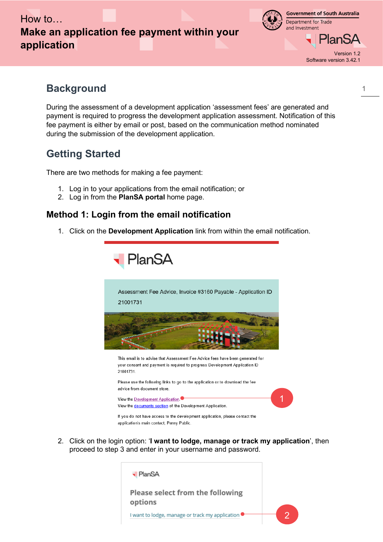



> Version 1.2 Software version 3.42.1

PlanSA

1

# **Background**

During the assessment of a development application 'assessment fees' are generated and payment is required to progress the development application assessment. Notification of this fee payment is either by email or post, based on the communication method nominated during the submission of the development application.

# **Getting Started**

There are two methods for making a fee payment:

- 1. Log in to your applications from the email notification; or
- 2. Log in from the **PlanSA portal** home page.

## **Method 1: Login from the email notification**

1. Click on the **Development Application** link from within the email notification.



2. Click on the login option: '**I want to lodge, manage or track my application**', then proceed to step 3 and enter in your username and password.

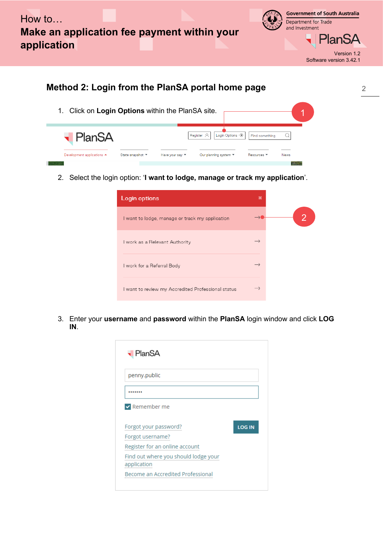

> **PlanSA** Version 1.2 Software version 3.42.1

> > 2

#### **Method 2: Login from the PlanSA portal home page** 1. Click on **Login Options** within the PlanSA site. 1**PlanSA** Register  $\beta$ Login Options  $\rightarrow$ Find something  $\alpha$ State snapshot ▼ Our planning system ▼ Resources \* Development applications ▲ Have your say  $\blacktriangledown$ News

2. Select the login option: '**I want to lodge, manage or track my application**'.

| Login options                                      | × |
|----------------------------------------------------|---|
| I want to lodge, manage or track my application    |   |
| I work as a Relevant Authority                     |   |
| I work for a Referral Body                         |   |
| I want to review my Accredited Professional status |   |

3. Enter your **username** and **password** within the **PlanSA** login window and click **LOG IN**.

| <b>-</b> PlanSA                      |               |
|--------------------------------------|---------------|
| penny.public                         |               |
|                                      |               |
| $\vee$ Remember me                   |               |
|                                      |               |
|                                      |               |
| Forgot your password?                | <b>LOG IN</b> |
| Forgot username?                     |               |
| Register for an online account       |               |
| Find out where you should lodge your |               |
| application                          |               |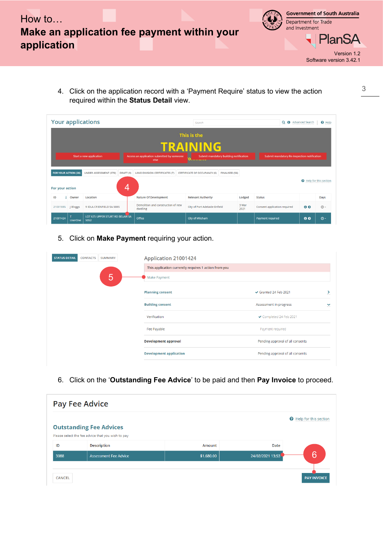



> **PlanSA** Version 1.2 Software version 3.42.1

4. Click on the application record with a 'Payment Require' status to view the action required within the **Status Detail** view.

| <b>Your applications</b>                                                                                                                                                                                                                         |                 |                                          |                                                | Search                        | Q + Advanced Search |                              |                | $\Theta$ Help |  |
|--------------------------------------------------------------------------------------------------------------------------------------------------------------------------------------------------------------------------------------------------|-----------------|------------------------------------------|------------------------------------------------|-------------------------------|---------------------|------------------------------|----------------|---------------|--|
|                                                                                                                                                                                                                                                  | This is the     |                                          |                                                |                               |                     |                              |                |               |  |
|                                                                                                                                                                                                                                                  | <b>TRAINING</b> |                                          |                                                |                               |                     |                              |                |               |  |
| Access an application submitted by someone<br>Start a new application<br>Submit mandatory building notification<br>Submit mandatory Re-Inspection notification<br>else<br><u>le permetero estatun e</u> permet                                   |                 |                                          |                                                |                               |                     |                              |                |               |  |
| <b>FOR YOUR ACTION (26)</b><br><b>UNDER ASSESSMENT (378)</b><br>DRAFT <sub>(9)</sub><br><b>LAND DIVISION CERTIFICATES (7)</b><br><b>CERTIFICATE OF OCCUPANCY (6)</b><br>FINALISED (56)<br><b>O</b> Help for this section<br>4<br>For your action |                 |                                          |                                                |                               |                     |                              |                |               |  |
| ID                                                                                                                                                                                                                                               | Owner           | Location                                 | <b>Nature Of Development</b>                   | <b>Relevant Authority</b>     | Lodged              | <b>Status</b>                |                | Days          |  |
| 21001885                                                                                                                                                                                                                                         | Bloggs          | 9 IDLA CR ENFIELD SA 5085                | Demolition and construction of new<br>dwelling | City of Port Adelaide Enfield | 3 Mar<br>2021       | Consent application required | 0 <sub>0</sub> | $\odot$ -     |  |
| 21001424                                                                                                                                                                                                                                         | <b>UserOne</b>  | LOT 675 UPPER STURT RD BELAIR SA<br>5052 | Office                                         | City of Mitcham               |                     | Payment required             | 00             | $\odot$ -     |  |

## 5. Click on **Make Payment** requiring your action.

| <b>STATUS DETAIL</b><br><b>CONTACTS</b><br><b>SUMMARY</b> | Application 21001424                                  |                                  |
|-----------------------------------------------------------|-------------------------------------------------------|----------------------------------|
|                                                           | This application currently requires 1 action from you |                                  |
| 5                                                         | Make Payment                                          |                                  |
|                                                           | <b>Planning consent</b>                               | Granted 24 Feb 2021<br>⋗         |
|                                                           | <b>Building consent</b>                               | Assessment in progress<br>◡      |
|                                                           | Verification                                          | ◆ Completed 24 Feb 2021          |
|                                                           | Fee Payable                                           | Payment required                 |
|                                                           | <b>Development approval</b>                           | Pending approval of all consents |
|                                                           | <b>Development application</b>                        | Pending approval of all consents |
|                                                           |                                                       |                                  |

6. Click on the '**Outstanding Fee Advice**' to be paid and then **Pay Invoice** to proceed.

| <b>Pay Fee Advice</b> |                                                   |            |                  |                                |  |  |
|-----------------------|---------------------------------------------------|------------|------------------|--------------------------------|--|--|
|                       | <b>Outstanding Fee Advices</b>                    |            |                  | <b>Q</b> Help for this section |  |  |
|                       | Please select the fee advice that you wish to pay |            |                  |                                |  |  |
| ID                    | <b>Description</b>                                | Amount     | Date             |                                |  |  |
| 3088                  | <b>Assessment Fee Advice</b>                      | \$1,680.00 | 24/02/2021 13:53 | 6                              |  |  |
| <b>CANCEL</b>         |                                                   |            |                  | <b>PAY INVOICE</b>             |  |  |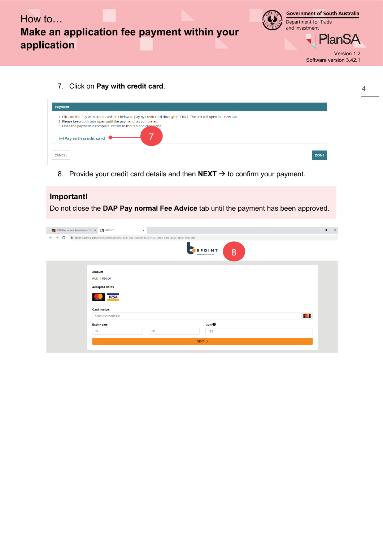



**PlanSA** 

Version 1.2 Software version 3.42.1

4

7. Click on **Pay with credit card**.

| Payment                                                                                                                                                                                                                                                                                          |             |
|--------------------------------------------------------------------------------------------------------------------------------------------------------------------------------------------------------------------------------------------------------------------------------------------------|-------------|
| 1. Click on the 'Pay with credit card' link below to pay by credit card through BPOINT. The link will open in a new tab.<br>2. Please keep both tabs open until the payment has completed.<br>3. Once the payment is complete, return to this tab and click Done.<br>$\Box$ Pay with credit card |             |
| <b>CANCEL</b>                                                                                                                                                                                                                                                                                    | <b>DONE</b> |

8. Provide your credit card details and then  $NEXT \rightarrow$  to confirm your payment.

| Important!                                 |                                                                                        |                                    |          |
|--------------------------------------------|----------------------------------------------------------------------------------------|------------------------------------|----------|
|                                            | Do not close the DAP Pay normal Fee Advice tab until the payment has been approved.    |                                    |          |
| DAP Pay normal Fee Advice - Dev X   BPOINT | $\times$                                                                               | $\Box$<br>$\overline{\phantom{0}}$ | $\times$ |
| $\rightarrow$<br>C<br>$\leftarrow$         | ■ bpoint.com.au/pay/5353109000000073?in_pay_token=34c41112-edbc-4af3-a20e-4b2cf7a67db5 |                                    |          |
|                                            | 8<br>oeivables Solution                                                                |                                    |          |
|                                            |                                                                                        |                                    |          |
|                                            | <b>Amount</b>                                                                          |                                    |          |
|                                            | AUD 1,680.00                                                                           |                                    |          |
|                                            | <b>Accepted Cards</b>                                                                  |                                    |          |
|                                            | <b>VISA</b>                                                                            |                                    |          |
|                                            | <b>Card number</b>                                                                     |                                    |          |
|                                            | $\bullet$<br>5105105105105100                                                          |                                    |          |
|                                            | CVD<br><b>Expiry date</b>                                                              |                                    |          |
|                                            | 99<br>$00\,$<br>123                                                                    |                                    |          |
|                                            | NEXT                                                                                   |                                    |          |
|                                            |                                                                                        |                                    |          |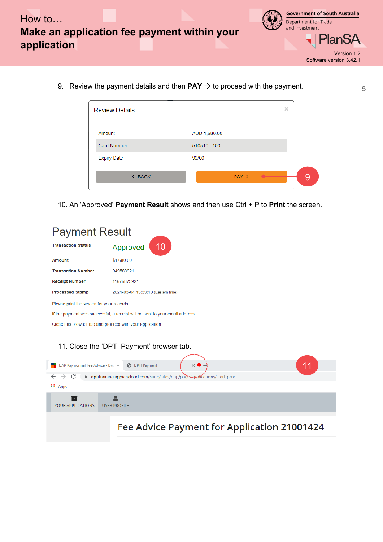

> Version 1.2 Software version 3.42.1

9. Review the payment details and then  $PAY \rightarrow$  to proceed with the payment.

| <b>Review Details</b> | $\times$     |  |
|-----------------------|--------------|--|
| Amount                | AUD 1,680.00 |  |
| <b>Card Number</b>    | 510510100    |  |
| <b>Expiry Date</b>    | 99/00        |  |
| <b>&lt; BACK</b>      | PAY >        |  |

10. An 'Approved' **Payment Result** shows and then use Ctrl + P to **Print** the screen.

| <b>Payment Result</b>                                     |                                                                              |  |  |  |  |
|-----------------------------------------------------------|------------------------------------------------------------------------------|--|--|--|--|
| <b>Transaction Status</b><br>10<br>Approved               |                                                                              |  |  |  |  |
| Amount                                                    | \$1,680.00                                                                   |  |  |  |  |
| <b>Transaction Number</b>                                 | 949583921                                                                    |  |  |  |  |
| 11676873921<br><b>Receipt Number</b>                      |                                                                              |  |  |  |  |
| <b>Processed Stamp</b>                                    | 2021-03-04 13:33:10 (Eastern time)                                           |  |  |  |  |
| Please print the screen for your records.                 |                                                                              |  |  |  |  |
|                                                           | If the payment was successful, a receipt will be sent to your email address. |  |  |  |  |
| Close this browser tab and proceed with your application. |                                                                              |  |  |  |  |

| 11. Close the 'DPTI Payment' browser tab.                                                                                                                                 |  |
|---------------------------------------------------------------------------------------------------------------------------------------------------------------------------|--|
| DAP Pay normal Fee Advice - Dev X (3) DPTI Payment<br>adptitraining.appiancloud.com/suite/sites/dap/page/applications/start-prod<br>C<br>$\rightarrow$<br><b>III</b> Apps |  |
| <b>USER PROFILE</b><br>YOUR APPLICATIONS                                                                                                                                  |  |
| Fee Advice Payment for Application 21001424                                                                                                                               |  |